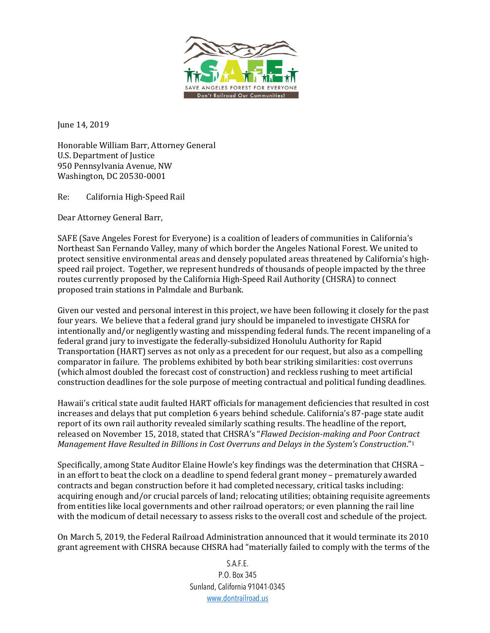

June 14, 2019

Honorable William Barr, Attorney General U.S. Department of Justice 950 Pennsylvania Avenue, NW Washington, DC 20530-0001

Re: California High-Speed Rail

Dear Attorney General Barr,

SAFE (Save Angeles Forest for Everyone) is a coalition of leaders of communities in California's Northeast San Fernando Valley, many of which border the Angeles National Forest. We united to protect sensitive environmental areas and densely populated areas threatened by California's highspeed rail project. Together, we represent hundreds of thousands of people impacted by the three routes currently proposed by the California High-Speed Rail Authority (CHSRA) to connect proposed train stations in Palmdale and Burbank.

Given our vested and personal interest in this project, we have been following it closely for the past four years. We believe that a federal grand jury should be impaneled to investigate CHSRA for intentionally and/or negligently wasting and misspending federal funds. The recent impaneling of a federal grand jury to investigate the federally-subsidized Honolulu Authority for Rapid Transportation (HART) serves as not only as a precedent for our request, but also as a compelling comparator in failure. The problems exhibited by both bear striking similarities: cost overruns (which almost doubled the forecast cost of construction) and reckless rushing to meet artificial construction deadlines for the sole purpose of meeting contractual and political funding deadlines.

Hawaii's critical state audit faulted HART officials for management deficiencies that resulted in cost increases and delays that put completion 6 years behind schedule. California's 87-page state audit report of its own rail authority revealed similarly scathing results. The headline of the report, released on November 15, 2018, stated that CHSRA's "*Flawed Decision-making and Poor Contract Management Have Resulted in Billions in Cost Overruns and Delays in the System's Construction."1* 

Specifically, among State Auditor Elaine Howle's key findings was the determination that CHSRA – in an effort to beat the clock on a deadline to spend federal grant money – prematurely awarded contracts and began construction before it had completed necessary, critical tasks including: acquiring enough and/or crucial parcels of land; relocating utilities; obtaining requisite agreements from entities like local governments and other railroad operators; or even planning the rail line with the modicum of detail necessary to assess risks to the overall cost and schedule of the project.

On March 5, 2019, the Federal Railroad Administration announced that it would terminate its 2010 grant agreement with CHSRA because CHSRA had "materially failed to comply with the terms of the

> S.A.F.E. P.O. Box 345 Sunland, California 91041-0345 www.dontrailroad.us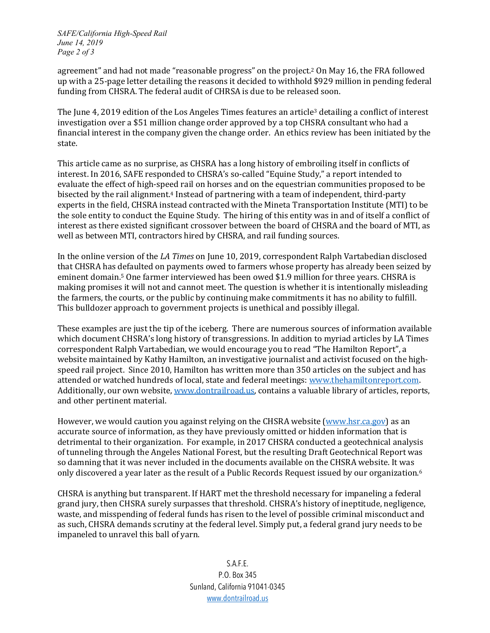*SAFE/California High-Speed Rail June 14, 2019 Page 2 of 3*

agreement" and had not made "reasonable progress" on the project.<sup>2</sup> On May 16, the FRA followed up with a 25-page letter detailing the reasons it decided to withhold \$929 million in pending federal funding from CHSRA. The federal audit of CHRSA is due to be released soon.

The June 4, 2019 edition of the Los Angeles Times features an article<sup>3</sup> detailing a conflict of interest investigation over a \$51 million change order approved by a top CHSRA consultant who had a financial interest in the company given the change order. An ethics review has been initiated by the state. 

This article came as no surprise, as CHSRA has a long history of embroiling itself in conflicts of interest. In 2016, SAFE responded to CHSRA's so-called "Equine Study," a report intended to evaluate the effect of high-speed rail on horses and on the equestrian communities proposed to be bisected by the rail alignment.<sup>4</sup> Instead of partnering with a team of independent, third-party experts in the field, CHSRA instead contracted with the Mineta Transportation Institute (MTI) to be the sole entity to conduct the Equine Study. The hiring of this entity was in and of itself a conflict of interest as there existed significant crossover between the board of CHSRA and the board of MTI, as well as between MTI, contractors hired by CHSRA, and rail funding sources.

In the online version of the *LA Times* on June 10, 2019, correspondent Ralph Vartabedian disclosed that CHSRA has defaulted on payments owed to farmers whose property has already been seized by eminent domain.<sup>5</sup> One farmer interviewed has been owed \$1.9 million for three years. CHSRA is making promises it will not and cannot meet. The question is whether it is intentionally misleading the farmers, the courts, or the public by continuing make commitments it has no ability to fulfill. This bulldozer approach to government projects is unethical and possibly illegal.

These examples are just the tip of the iceberg. There are numerous sources of information available which document CHSRA's long history of transgressions. In addition to myriad articles by LA Times correspondent Ralph Vartabedian, we would encourage you to read "The Hamilton Report", a website maintained by Kathy Hamilton, an investigative journalist and activist focused on the highspeed rail project. Since 2010, Hamilton has written more than 350 articles on the subject and has attended or watched hundreds of local, state and federal meetings: www.thehamiltonreport.com. Additionally, our own website, www.dontrailroad.us, contains a valuable library of articles, reports, and other pertinent material.

However, we would caution you against relying on the CHSRA website (www.hsr.ca.gov) as an accurate source of information, as they have previously omitted or hidden information that is detrimental to their organization. For example, in 2017 CHSRA conducted a geotechnical analysis of tunneling through the Angeles National Forest, but the resulting Draft Geotechnical Report was so damning that it was never included in the documents available on the CHSRA website. It was only discovered a year later as the result of a Public Records Request issued by our organization.<sup>6</sup>

CHSRA is anything but transparent. If HART met the threshold necessary for impaneling a federal grand jury, then CHSRA surely surpasses that threshold. CHSRA's history of ineptitude, negligence, waste, and misspending of federal funds has risen to the level of possible criminal misconduct and as such, CHSRA demands scrutiny at the federal level. Simply put, a federal grand jury needs to be impaneled to unravel this ball of yarn.

> S.A.F.E. P.O. Box 345 Sunland, California 91041-0345 www.dontrailroad.us